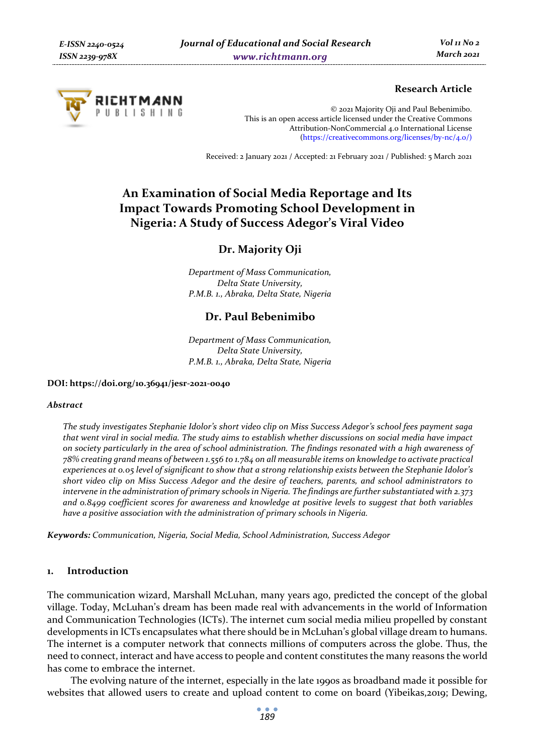

### **Research Article**

© 2021 Majority Oji and Paul Bebenimibo. This is an open access article licensed under the Creative Commons Attribution-NonCommercial 4.0 International License (https://creativecommons.org/licenses/by-nc/4.0/)

Received: 2 January 2021 / Accepted: 21 February 2021 / Published: 5 March 2021

# **An Examination of Social Media Reportage and Its Impact Towards Promoting School Development in Nigeria: A Study of Success Adegor's Viral Video**

## **Dr. Majority Oji**

*Department of Mass Communication, Delta State University, P.M.B. 1., Abraka, Delta State, Nigeria* 

# **Dr. Paul Bebenimibo**

*Department of Mass Communication, Delta State University, P.M.B. 1., Abraka, Delta State, Nigeria* 

#### **DOI: https://doi.org/10.36941/jesr-2021-0040**

#### *Abstract*

*The study investigates Stephanie Idolor's short video clip on Miss Success Adegor's school fees payment saga that went viral in social media. The study aims to establish whether discussions on social media have impact on society particularly in the area of school administration. The findings resonated with a high awareness of 78% creating grand means of between 1.556 to 1.784 on all measurable items on knowledge to activate practical experiences at 0.05 level of significant to show that a strong relationship exists between the Stephanie Idolor's short video clip on Miss Success Adegor and the desire of teachers, parents, and school administrators to intervene in the administration of primary schools in Nigeria. The findings are further substantiated with 2.373 and 0.8499 coefficient scores for awareness and knowledge at positive levels to suggest that both variables have a positive association with the administration of primary schools in Nigeria.* 

*Keywords: Communication, Nigeria, Social Media, School Administration, Success Adegor* 

### **1. Introduction**

The communication wizard, Marshall McLuhan, many years ago, predicted the concept of the global village. Today, McLuhan's dream has been made real with advancements in the world of Information and Communication Technologies (ICTs). The internet cum social media milieu propelled by constant developments in ICTs encapsulates what there should be in McLuhan's global village dream to humans. The internet is a computer network that connects millions of computers across the globe. Thus, the need to connect, interact and have access to people and content constitutes the many reasons the world has come to embrace the internet.

The evolving nature of the internet, especially in the late 1990s as broadband made it possible for websites that allowed users to create and upload content to come on board (Yibeikas,2019; Dewing,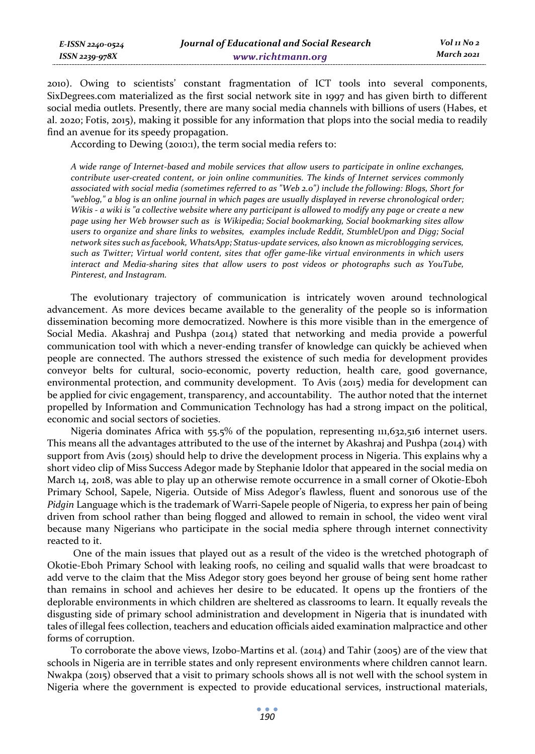2010). Owing to scientists' constant fragmentation of ICT tools into several components, SixDegrees.com materialized as the first social network site in 1997 and has given birth to different social media outlets. Presently, there are many social media channels with billions of users (Habes, et al. 2020; Fotis, 2015), making it possible for any information that plops into the social media to readily find an avenue for its speedy propagation.

According to Dewing (2010:1), the term social media refers to:

*A wide range of Internet-based and mobile services that allow users to participate in online exchanges, contribute user-created content, or join online communities. The kinds of Internet services commonly associated with social media (sometimes referred to as "Web 2.0") include the following: Blogs, Short for "weblog," a blog is an online journal in which pages are usually displayed in reverse chronological order; Wikis - a wiki is "a collective website where any participant is allowed to modify any page or create a new page using her Web browser such as is Wikipedia; Social bookmarking, Social bookmarking sites allow users to organize and share links to websites, examples include Reddit, StumbleUpon and Digg; Social network sites such as facebook, WhatsApp; Status-update services, also known as microblogging services, such as Twitter; Virtual world content, sites that offer game-like virtual environments in which users interact and Media-sharing sites that allow users to post videos or photographs such as YouTube, Pinterest, and Instagram.* 

The evolutionary trajectory of communication is intricately woven around technological advancement. As more devices became available to the generality of the people so is information dissemination becoming more democratized. Nowhere is this more visible than in the emergence of Social Media. Akashraj and Pushpa (2014) stated that networking and media provide a powerful communication tool with which a never-ending transfer of knowledge can quickly be achieved when people are connected. The authors stressed the existence of such media for development provides conveyor belts for cultural, socio-economic, poverty reduction, health care, good governance, environmental protection, and community development. To Avis (2015) media for development can be applied for civic engagement, transparency, and accountability. The author noted that the internet propelled by Information and Communication Technology has had a strong impact on the political, economic and social sectors of societies.

Nigeria dominates Africa with 55.5% of the population, representing 111,632,516 internet users. This means all the advantages attributed to the use of the internet by Akashraj and Pushpa (2014) with support from Avis (2015) should help to drive the development process in Nigeria. This explains why a short video clip of Miss Success Adegor made by Stephanie Idolor that appeared in the social media on March 14, 2018, was able to play up an otherwise remote occurrence in a small corner of Okotie-Eboh Primary School, Sapele, Nigeria. Outside of Miss Adegor's flawless, fluent and sonorous use of the *Pidgin* Language which is the trademark of Warri-Sapele people of Nigeria, to express her pain of being driven from school rather than being flogged and allowed to remain in school, the video went viral because many Nigerians who participate in the social media sphere through internet connectivity reacted to it.

 One of the main issues that played out as a result of the video is the wretched photograph of Okotie-Eboh Primary School with leaking roofs, no ceiling and squalid walls that were broadcast to add verve to the claim that the Miss Adegor story goes beyond her grouse of being sent home rather than remains in school and achieves her desire to be educated. It opens up the frontiers of the deplorable environments in which children are sheltered as classrooms to learn. It equally reveals the disgusting side of primary school administration and development in Nigeria that is inundated with tales of illegal fees collection, teachers and education officials aided examination malpractice and other forms of corruption.

To corroborate the above views, Izobo-Martins et al. (2014) and Tahir (2005) are of the view that schools in Nigeria are in terrible states and only represent environments where children cannot learn. Nwakpa (2015) observed that a visit to primary schools shows all is not well with the school system in Nigeria where the government is expected to provide educational services, instructional materials,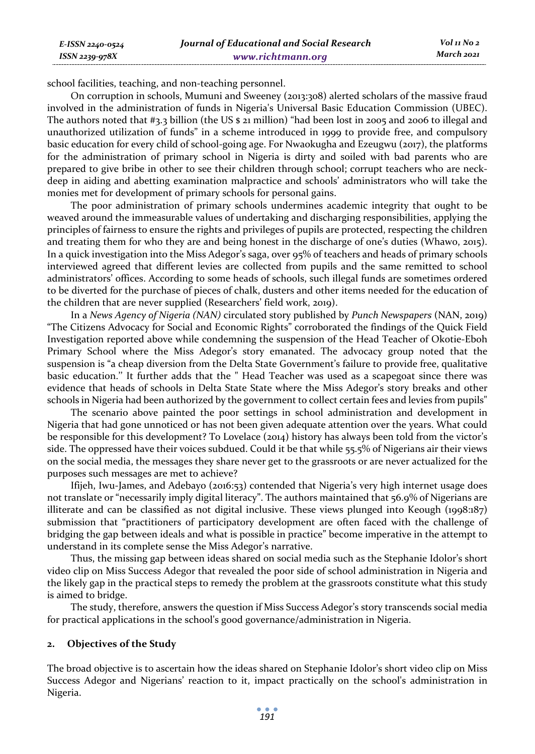school facilities, teaching, and non-teaching personnel.

*E-ISSN 2240-0524 ISSN 2239-978X*

On corruption in schools, Mumuni and Sweeney (2013:308) alerted scholars of the massive fraud involved in the administration of funds in Nigeria's Universal Basic Education Commission (UBEC). The authors noted that #3.3 billion (the US \$ 21 million) "had been lost in 2005 and 2006 to illegal and unauthorized utilization of funds" in a scheme introduced in 1999 to provide free, and compulsory basic education for every child of school-going age. For Nwaokugha and Ezeugwu (2017), the platforms for the administration of primary school in Nigeria is dirty and soiled with bad parents who are prepared to give bribe in other to see their children through school; corrupt teachers who are neckdeep in aiding and abetting examination malpractice and schools' administrators who will take the monies met for development of primary schools for personal gains.

The poor administration of primary schools undermines academic integrity that ought to be weaved around the immeasurable values of undertaking and discharging responsibilities, applying the principles of fairness to ensure the rights and privileges of pupils are protected, respecting the children and treating them for who they are and being honest in the discharge of one's duties (Whawo, 2015). In a quick investigation into the Miss Adegor's saga, over 95% of teachers and heads of primary schools interviewed agreed that different levies are collected from pupils and the same remitted to school administrators' offices. According to some heads of schools, such illegal funds are sometimes ordered to be diverted for the purchase of pieces of chalk, dusters and other items needed for the education of the children that are never supplied (Researchers' field work, 2019).

In a *News Agency of Nigeria (NAN)* circulated story published by *Punch Newspapers* (NAN, 2019) "The Citizens Advocacy for Social and Economic Rights" corroborated the findings of the Quick Field Investigation reported above while condemning the suspension of the Head Teacher of Okotie-Eboh Primary School where the Miss Adegor's story emanated. The advocacy group noted that the suspension is "a cheap diversion from the Delta State Government's failure to provide free, qualitative basic education.'' It further adds that the " Head Teacher was used as a scapegoat since there was evidence that heads of schools in Delta State State where the Miss Adegor's story breaks and other schools in Nigeria had been authorized by the government to collect certain fees and levies from pupils"

The scenario above painted the poor settings in school administration and development in Nigeria that had gone unnoticed or has not been given adequate attention over the years. What could be responsible for this development? To Lovelace (2014) history has always been told from the victor's side. The oppressed have their voices subdued. Could it be that while 55.5% of Nigerians air their views on the social media, the messages they share never get to the grassroots or are never actualized for the purposes such messages are met to achieve?

Ifijeh, Iwu-James, and Adebayo (2016:53) contended that Nigeria's very high internet usage does not translate or "necessarily imply digital literacy". The authors maintained that 56.9% of Nigerians are illiterate and can be classified as not digital inclusive. These views plunged into Keough (1998:187) submission that "practitioners of participatory development are often faced with the challenge of bridging the gap between ideals and what is possible in practice" become imperative in the attempt to understand in its complete sense the Miss Adegor's narrative.

Thus, the missing gap between ideas shared on social media such as the Stephanie Idolor's short video clip on Miss Success Adegor that revealed the poor side of school administration in Nigeria and the likely gap in the practical steps to remedy the problem at the grassroots constitute what this study is aimed to bridge.

The study, therefore, answers the question if Miss Success Adegor's story transcends social media for practical applications in the school's good governance/administration in Nigeria.

#### **2. Objectives of the Study**

The broad objective is to ascertain how the ideas shared on Stephanie Idolor's short video clip on Miss Success Adegor and Nigerians' reaction to it, impact practically on the school's administration in Nigeria.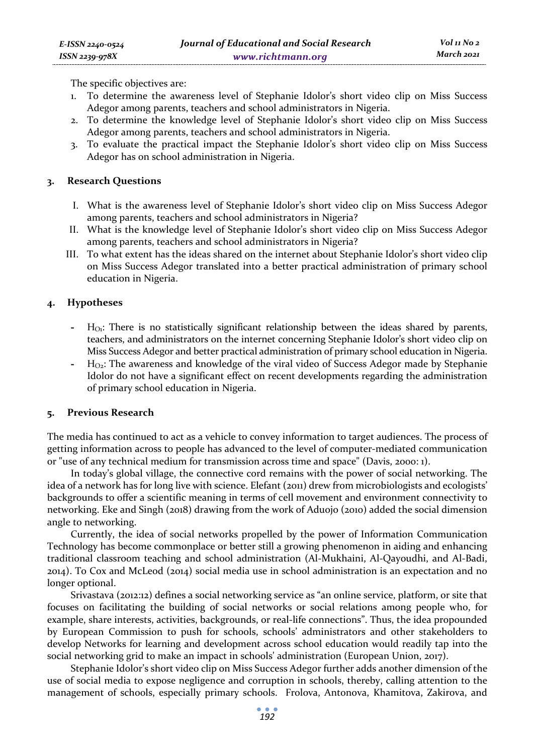The specific objectives are:

- 1. To determine the awareness level of Stephanie Idolor's short video clip on Miss Success Adegor among parents, teachers and school administrators in Nigeria.
- 2. To determine the knowledge level of Stephanie Idolor's short video clip on Miss Success Adegor among parents, teachers and school administrators in Nigeria.
- 3. To evaluate the practical impact the Stephanie Idolor's short video clip on Miss Success Adegor has on school administration in Nigeria.

### **3. Research Questions**

- I. What is the awareness level of Stephanie Idolor's short video clip on Miss Success Adegor among parents, teachers and school administrators in Nigeria?
- II. What is the knowledge level of Stephanie Idolor's short video clip on Miss Success Adegor among parents, teachers and school administrators in Nigeria?
- III. To what extent has the ideas shared on the internet about Stephanie Idolor's short video clip on Miss Success Adegor translated into a better practical administration of primary school education in Nigeria.

### **4. Hypotheses**

- **-** HO1: There is no statistically significant relationship between the ideas shared by parents, teachers, and administrators on the internet concerning Stephanie Idolor's short video clip on Miss Success Adegor and better practical administration of primary school education in Nigeria.
- **-** HO2: The awareness and knowledge of the viral video of Success Adegor made by Stephanie Idolor do not have a significant effect on recent developments regarding the administration of primary school education in Nigeria.

#### **5. Previous Research**

The media has continued to act as a vehicle to convey information to target audiences. The process of getting information across to people has advanced to the level of computer-mediated communication or "use of any technical medium for transmission across time and space" (Davis, 2000: 1).

In today's global village, the connective cord remains with the power of social networking. The idea of a network has for long live with science. Elefant (2011) drew from microbiologists and ecologists' backgrounds to offer a scientific meaning in terms of cell movement and environment connectivity to networking. Eke and Singh (2018) drawing from the work of Aduojo (2010) added the social dimension angle to networking.

Currently, the idea of social networks propelled by the power of Information Communication Technology has become commonplace or better still a growing phenomenon in aiding and enhancing traditional classroom teaching and school administration (Al-Mukhaini, Al-Qayoudhi, and Al-Badi, 2014). To Cox and McLeod (2014) social media use in school administration is an expectation and no longer optional.

Srivastava (2012:12) defines a social networking service as "an online service, platform, or site that focuses on facilitating the building of social networks or social relations among people who, for example, share interests, activities, backgrounds, or real-life connections". Thus, the idea propounded by European Commission to push for schools, schools' administrators and other stakeholders to develop Networks for learning and development across school education would readily tap into the social networking grid to make an impact in schools' administration (European Union, 2017).

Stephanie Idolor's short video clip on Miss Success Adegor further adds another dimension of the use of social media to expose negligence and corruption in schools, thereby, calling attention to the management of schools, especially primary schools. Frolova, Antonova, Khamitova, Zakirova, and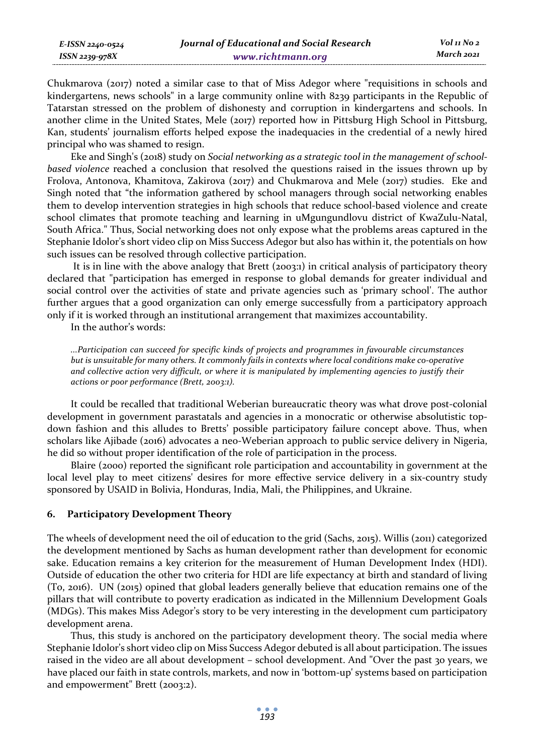Chukmarova (2017) noted a similar case to that of Miss Adegor where "requisitions in schools and kindergartens, news schools" in a large community online with 8239 participants in the Republic of Tatarstan stressed on the problem of dishonesty and corruption in kindergartens and schools. In another clime in the United States, Mele (2017) reported how in Pittsburg High School in Pittsburg, Kan, students' journalism efforts helped expose the inadequacies in the credential of a newly hired principal who was shamed to resign.

Eke and Singh's (2018) study on *Social networking as a strategic tool in the management of schoolbased violence* reached a conclusion that resolved the questions raised in the issues thrown up by Frolova, Antonova, Khamitova, Zakirova (2017) and Chukmarova and Mele (2017) studies. Eke and Singh noted that "the information gathered by school managers through social networking enables them to develop intervention strategies in high schools that reduce school-based violence and create school climates that promote teaching and learning in uMgungundlovu district of KwaZulu-Natal, South Africa." Thus, Social networking does not only expose what the problems areas captured in the Stephanie Idolor's short video clip on Miss Success Adegor but also has within it, the potentials on how such issues can be resolved through collective participation.

 It is in line with the above analogy that Brett (2003:1) in critical analysis of participatory theory declared that "participation has emerged in response to global demands for greater individual and social control over the activities of state and private agencies such as 'primary school'. The author further argues that a good organization can only emerge successfully from a participatory approach only if it is worked through an institutional arrangement that maximizes accountability.

In the author's words:

*E-ISSN 2240-0524 ISSN 2239-978X*

> *...Participation can succeed for specific kinds of projects and programmes in favourable circumstances but is unsuitable for many others. It commonly fails in contexts where local conditions make co-operative and collective action very difficult, or where it is manipulated by implementing agencies to justify their actions or poor performance (Brett, 2003:1).*

It could be recalled that traditional Weberian bureaucratic theory was what drove post-colonial development in government parastatals and agencies in a monocratic or otherwise absolutistic topdown fashion and this alludes to Bretts' possible participatory failure concept above. Thus, when scholars like Ajibade (2016) advocates a neo-Weberian approach to public service delivery in Nigeria, he did so without proper identification of the role of participation in the process.

Blaire (2000) reported the significant role participation and accountability in government at the local level play to meet citizens' desires for more effective service delivery in a six-country study sponsored by USAID in Bolivia, Honduras, India, Mali, the Philippines, and Ukraine.

### **6. Participatory Development Theory**

The wheels of development need the oil of education to the grid (Sachs, 2015). Willis (2011) categorized the development mentioned by Sachs as human development rather than development for economic sake. Education remains a key criterion for the measurement of Human Development Index (HDI). Outside of education the other two criteria for HDI are life expectancy at birth and standard of living (To, 2016). UN (2015) opined that global leaders generally believe that education remains one of the pillars that will contribute to poverty eradication as indicated in the Millennium Development Goals (MDGs). This makes Miss Adegor's story to be very interesting in the development cum participatory development arena.

Thus, this study is anchored on the participatory development theory. The social media where Stephanie Idolor's short video clip on Miss Success Adegor debuted is all about participation. The issues raised in the video are all about development – school development. And "Over the past 30 years, we have placed our faith in state controls, markets, and now in 'bottom-up' systems based on participation and empowerment" Brett (2003:2).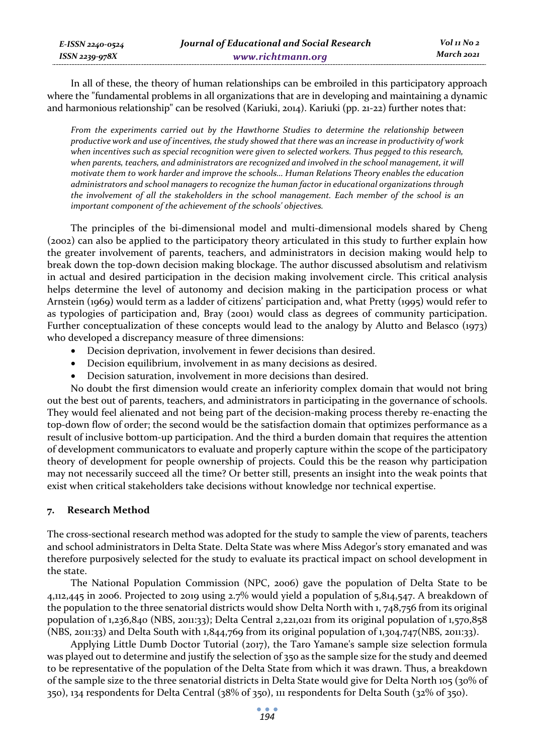In all of these, the theory of human relationships can be embroiled in this participatory approach where the "fundamental problems in all organizations that are in developing and maintaining a dynamic and harmonious relationship" can be resolved (Kariuki, 2014). Kariuki (pp. 21-22) further notes that:

*From the experiments carried out by the Hawthorne Studies to determine the relationship between productive work and use of incentives, the study showed that there was an increase in productivity of work when incentives such as special recognition were given to selected workers. Thus pegged to this research,*  when parents, teachers, and administrators are recognized and involved in the school management, it will *motivate them to work harder and improve the schools… Human Relations Theory enables the education administrators and school managers to recognize the human factor in educational organizations through the involvement of all the stakeholders in the school management. Each member of the school is an important component of the achievement of the schools' objectives.* 

The principles of the bi-dimensional model and multi-dimensional models shared by Cheng (2002) can also be applied to the participatory theory articulated in this study to further explain how the greater involvement of parents, teachers, and administrators in decision making would help to break down the top-down decision making blockage. The author discussed absolutism and relativism in actual and desired participation in the decision making involvement circle. This critical analysis helps determine the level of autonomy and decision making in the participation process or what Arnstein (1969) would term as a ladder of citizens' participation and, what Pretty (1995) would refer to as typologies of participation and, Bray (2001) would class as degrees of community participation. Further conceptualization of these concepts would lead to the analogy by Alutto and Belasco (1973) who developed a discrepancy measure of three dimensions:

- Decision deprivation, involvement in fewer decisions than desired.
- Decision equilibrium, involvement in as many decisions as desired.
- Decision saturation, involvement in more decisions than desired.

No doubt the first dimension would create an inferiority complex domain that would not bring out the best out of parents, teachers, and administrators in participating in the governance of schools. They would feel alienated and not being part of the decision-making process thereby re-enacting the top-down flow of order; the second would be the satisfaction domain that optimizes performance as a result of inclusive bottom-up participation. And the third a burden domain that requires the attention of development communicators to evaluate and properly capture within the scope of the participatory theory of development for people ownership of projects. Could this be the reason why participation may not necessarily succeed all the time? Or better still, presents an insight into the weak points that exist when critical stakeholders take decisions without knowledge nor technical expertise.

### **7. Research Method**

*E-ISSN 2240-0524 ISSN 2239-978X*

The cross-sectional research method was adopted for the study to sample the view of parents, teachers and school administrators in Delta State. Delta State was where Miss Adegor's story emanated and was therefore purposively selected for the study to evaluate its practical impact on school development in the state.

The National Population Commission (NPC, 2006) gave the population of Delta State to be 4,112,445 in 2006. Projected to 2019 using 2.7% would yield a population of 5,814,547. A breakdown of the population to the three senatorial districts would show Delta North with 1, 748,756 from its original population of 1,236,840 (NBS, 2011:33); Delta Central 2,221,021 from its original population of 1,570,858 (NBS, 2011:33) and Delta South with 1,844,769 from its original population of 1,304,747(NBS, 2011:33).

Applying Little Dumb Doctor Tutorial (2017), the Taro Yamane's sample size selection formula was played out to determine and justify the selection of 350 as the sample size for the study and deemed to be representative of the population of the Delta State from which it was drawn. Thus, a breakdown of the sample size to the three senatorial districts in Delta State would give for Delta North 105 (30% of 350), 134 respondents for Delta Central (38% of 350), 111 respondents for Delta South (32% of 350).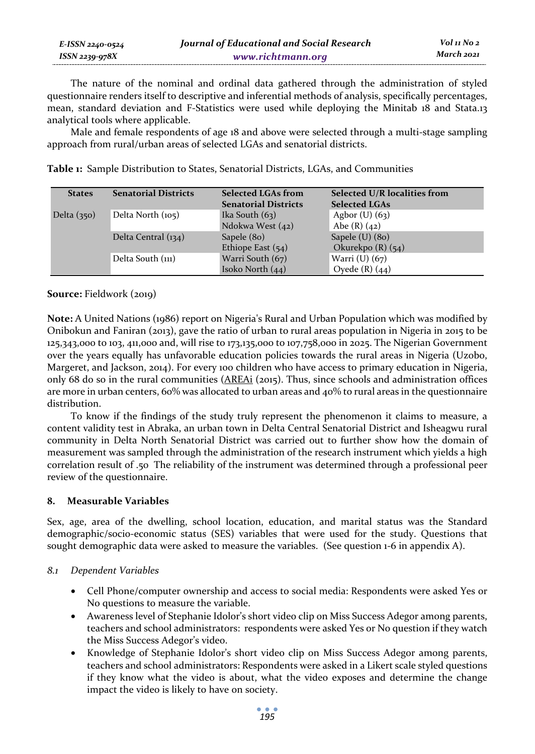| E-ISSN 2240-0524    | Journal of Educational and Social Research | Vol 11 No 2 |
|---------------------|--------------------------------------------|-------------|
| $ISSN$ 2239-97 $8X$ | www.richtmann.org                          | March 2021  |

The nature of the nominal and ordinal data gathered through the administration of styled questionnaire renders itself to descriptive and inferential methods of analysis, specifically percentages, mean, standard deviation and F-Statistics were used while deploying the Minitab 18 and Stata.13 analytical tools where applicable.

Male and female respondents of age 18 and above were selected through a multi-stage sampling approach from rural/urban areas of selected LGAs and senatorial districts.

| <b>States</b> | <b>Senatorial Districts</b> | <b>Selected LGAs from</b><br><b>Senatorial Districts</b> | Selected U/R localities from<br><b>Selected LGAs</b> |
|---------------|-----------------------------|----------------------------------------------------------|------------------------------------------------------|
| Delta $(350)$ | Delta North $(105)$         | Ika South $(63)$                                         | Agbor $(U)$ $(63)$                                   |
|               |                             | Ndokwa West (42)                                         | Abe $(R)$ $(42)$                                     |
|               | Delta Central (134)         | Sapele (80)                                              | Sapele $(U)$ (80)                                    |
|               |                             | Ethiope East $(54)$                                      | Okurekpo $(R)$ $(54)$                                |
|               | Delta South (111)           | Warri South (67)                                         | Warri (U) (67)                                       |
|               |                             | Isoko North $(44)$                                       | Oyede $(R)$ $(44)$                                   |

**Table 1:** Sample Distribution to States, Senatorial Districts, LGAs, and Communities

**Source:** Fieldwork (2019)

**Note:** A United Nations (1986) report on Nigeria's Rural and Urban Population which was modified by Onibokun and Faniran (2013), gave the ratio of urban to rural areas population in Nigeria in 2015 to be 125,343,000 to 103, 411,000 and, will rise to 173,135,000 to 107,758,000 in 2025. The Nigerian Government over the years equally has unfavorable education policies towards the rural areas in Nigeria (Uzobo, Margeret, and Jackson, 2014). For every 100 children who have access to primary education in Nigeria, only 68 do so in the rural communities (AREAi (2015). Thus, since schools and administration offices are more in urban centers, 60% was allocated to urban areas and 40% to rural areas in the questionnaire distribution.

To know if the findings of the study truly represent the phenomenon it claims to measure, a content validity test in Abraka, an urban town in Delta Central Senatorial District and Isheagwu rural community in Delta North Senatorial District was carried out to further show how the domain of measurement was sampled through the administration of the research instrument which yields a high correlation result of .50 The reliability of the instrument was determined through a professional peer review of the questionnaire.

### **8. Measurable Variables**

Sex, age, area of the dwelling, school location, education, and marital status was the Standard demographic/socio-economic status (SES) variables that were used for the study. Questions that sought demographic data were asked to measure the variables. (See question 1-6 in appendix A).

### *8.1 Dependent Variables*

- Cell Phone/computer ownership and access to social media: Respondents were asked Yes or No questions to measure the variable.
- Awareness level of Stephanie Idolor's short video clip on Miss Success Adegor among parents, teachers and school administrators: respondents were asked Yes or No question if they watch the Miss Success Adegor's video.
- Knowledge of Stephanie Idolor's short video clip on Miss Success Adegor among parents, teachers and school administrators: Respondents were asked in a Likert scale styled questions if they know what the video is about, what the video exposes and determine the change impact the video is likely to have on society.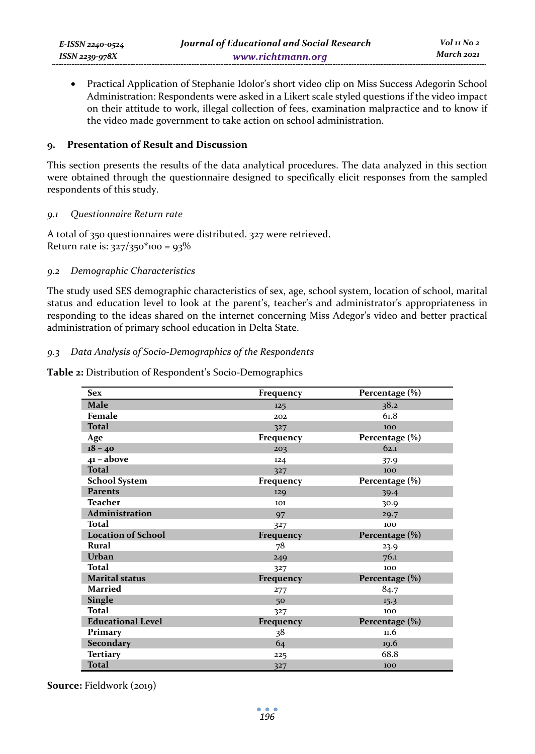• Practical Application of Stephanie Idolor's short video clip on Miss Success Adegorin School Administration: Respondents were asked in a Likert scale styled questions if the video impact on their attitude to work, illegal collection of fees, examination malpractice and to know if the video made government to take action on school administration.

### **9. Presentation of Result and Discussion**

This section presents the results of the data analytical procedures. The data analyzed in this section were obtained through the questionnaire designed to specifically elicit responses from the sampled respondents of this study.

#### *9.1 Questionnaire Return rate*

A total of 350 questionnaires were distributed. 327 were retrieved. Return rate is:  $327/350*100 = 93%$ 

### *9.2 Demographic Characteristics*

The study used SES demographic characteristics of sex, age, school system, location of school, marital status and education level to look at the parent's, teacher's and administrator's appropriateness in responding to the ideas shared on the internet concerning Miss Adegor's video and better practical administration of primary school education in Delta State.

### *9.3 Data Analysis of Socio-Demographics of the Respondents*

**Table 2:** Distribution of Respondent's Socio-Demographics

| <b>Sex</b>                | Frequency | Percentage (%) |
|---------------------------|-----------|----------------|
| <b>Male</b>               | 125       | 38.2           |
| Female                    | 202       | 61.8           |
| <b>Total</b>              | 327       | 100            |
| Age                       | Frequency | Percentage (%) |
| $18 - 40$                 | 203       | 62.1           |
| $41 - above$              | 124       | 37.9           |
| <b>Total</b>              | 327       | 100            |
| <b>School System</b>      | Frequency | Percentage (%) |
| <b>Parents</b>            | 129       | 39.4           |
| Teacher                   | 101       | 30.9           |
| <b>Administration</b>     | 97        | 29.7           |
| Total                     | 327       | 100            |
| <b>Location of School</b> | Frequency | Percentage (%) |
| Rural                     | 78        | 23.9           |
| Urban                     | 249       | 76.1           |
| <b>Total</b>              | 327       | 100            |
| <b>Marital status</b>     | Frequency | Percentage (%) |
| Married                   | 277       | 84.7           |
| <b>Single</b>             | 50        | 15.3           |
| Total                     | 327       | 100            |
| <b>Educational Level</b>  | Frequency | Percentage (%) |
| Primary                   | 38        | 11.6           |
| Secondary                 | 64        | 19.6           |
| <b>Tertiary</b>           | 225       | 68.8           |
| <b>Total</b>              | 327       | 100            |

**Source:** Fieldwork (2019)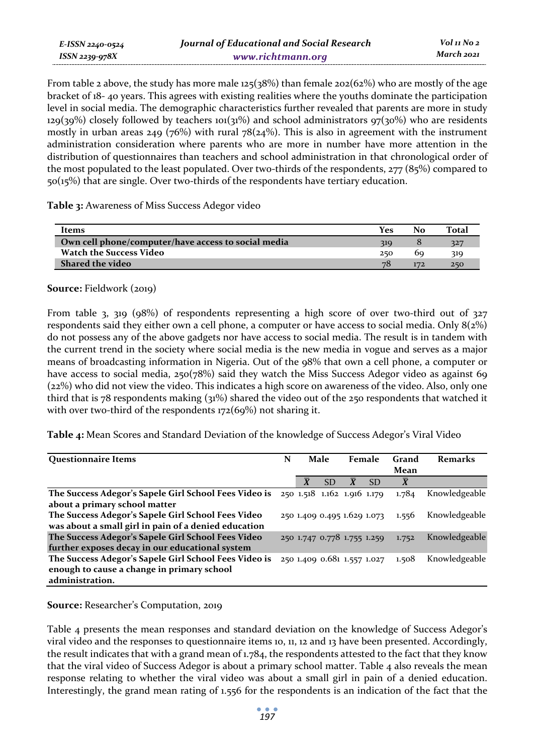| E-ISSN 2240-0524 | Journal of Educational and Social Research | Vol 11 No 2 |
|------------------|--------------------------------------------|-------------|
| ISSN 2239-978X   | www.richtmann.org                          | March 2021  |

From table 2 above, the study has more male  $125(38%)$  than female  $202(62%)$  who are mostly of the age bracket of 18- 40 years. This agrees with existing realities where the youths dominate the participation level in social media. The demographic characteristics further revealed that parents are more in study  $129(39%)$  closely followed by teachers 101(31%) and school administrators  $97(30%)$  who are residents mostly in urban areas  $249$  (76%) with rural 78( $24\%$ ). This is also in agreement with the instrument administration consideration where parents who are more in number have more attention in the distribution of questionnaires than teachers and school administration in that chronological order of the most populated to the least populated. Over two-thirds of the respondents, 277 (85%) compared to 50(15%) that are single. Over two-thirds of the respondents have tertiary education.

**Table 3:** Awareness of Miss Success Adegor video

| Items                                               | Yes | No  | Total |
|-----------------------------------------------------|-----|-----|-------|
| Own cell phone/computer/have access to social media | 319 |     | 327   |
| <b>Watch the Success Video</b>                      | 250 | bo  | 319   |
| <b>Shared the video</b>                             | 78  | 172 | 250   |

**Source:** Fieldwork (2019)

From table 3, 319 (98%) of respondents representing a high score of over two-third out of  $327$ respondents said they either own a cell phone, a computer or have access to social media. Only 8(2%) do not possess any of the above gadgets nor have access to social media. The result is in tandem with the current trend in the society where social media is the new media in vogue and serves as a major means of broadcasting information in Nigeria. Out of the 98% that own a cell phone, a computer or have access to social media, 250(78%) said they watch the Miss Success Adegor video as against 69 (22%) who did not view the video. This indicates a high score on awareness of the video. Also, only one third that is 78 respondents making (31%) shared the video out of the 250 respondents that watched it with over two-third of the respondents 172(69%) not sharing it.

**Table 4:** Mean Scores and Standard Deviation of the knowledge of Success Adegor's Viral Video

| <b>Questionnaire Items</b>                                                        | N |                    | Male      |                         | Female                      | Grand<br>Mean                     | <b>Remarks</b> |
|-----------------------------------------------------------------------------------|---|--------------------|-----------|-------------------------|-----------------------------|-----------------------------------|----------------|
|                                                                                   |   | $\bar{\mathbf{X}}$ | <b>SD</b> | $\overline{\mathbf{X}}$ | <b>SD</b>                   | $\overline{X}$                    |                |
| The Success Adegor's Sapele Girl School Fees Video is 250 1.518 1.162 1.916 1.179 |   |                    |           |                         |                             | 1.784                             | Knowledgeable  |
| about a primary school matter                                                     |   |                    |           |                         |                             |                                   |                |
| The Success Adegor's Sapele Girl School Fees Video                                |   |                    |           |                         |                             | 250 1.409 0.495 1.629 1.073 1.556 | Knowledgeable  |
| was about a small girl in pain of a denied education                              |   |                    |           |                         |                             |                                   |                |
| The Success Adegor's Sapele Girl School Fees Video                                |   |                    |           |                         | 250 1.747 0.778 1.755 1.259 | 1.752                             | Knowledgeable  |
| further exposes decay in our educational system                                   |   |                    |           |                         |                             |                                   |                |
| The Success Adegor's Sapele Girl School Fees Video is                             |   |                    |           |                         | 250 1.409 0.681 1.557 1.027 | 1.508                             | Knowledgeable  |
| enough to cause a change in primary school                                        |   |                    |           |                         |                             |                                   |                |
| administration.                                                                   |   |                    |           |                         |                             |                                   |                |

**Source:** Researcher's Computation, 2019

Table 4 presents the mean responses and standard deviation on the knowledge of Success Adegor's viral video and the responses to questionnaire items 10, 11, 12 and 13 have been presented. Accordingly, the result indicates that with a grand mean of  $1.784$ , the respondents attested to the fact that they know that the viral video of Success Adegor is about a primary school matter. Table 4 also reveals the mean response relating to whether the viral video was about a small girl in pain of a denied education. Interestingly, the grand mean rating of 1.556 for the respondents is an indication of the fact that the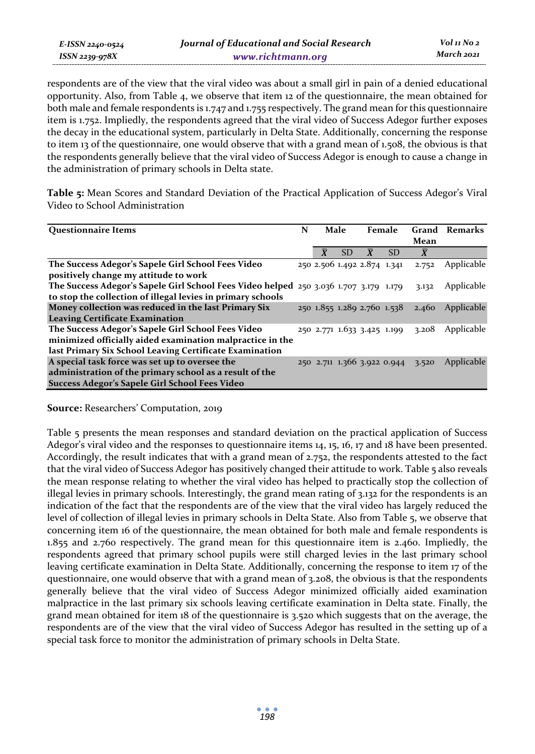respondents are of the view that the viral video was about a small girl in pain of a denied educational opportunity. Also, from Table 4, we observe that item 12 of the questionnaire, the mean obtained for both male and female respondents is 1.747 and 1.755 respectively. The grand mean for this questionnaire item is 1.752. Impliedly, the respondents agreed that the viral video of Success Adegor further exposes the decay in the educational system, particularly in Delta State. Additionally, concerning the response to item 13 of the questionnaire, one would observe that with a grand mean of 1.508, the obvious is that the respondents generally believe that the viral video of Success Adegor is enough to cause a change in the administration of primary schools in Delta state.

**Table 5:** Mean Scores and Standard Deviation of the Practical Application of Success Adegor's Viral Video to School Administration

| <b>Questionnaire Items</b>                                                            | N | Male                    |           | Female                      |           | Mean                              | Grand Remarks |
|---------------------------------------------------------------------------------------|---|-------------------------|-----------|-----------------------------|-----------|-----------------------------------|---------------|
|                                                                                       |   | $\overline{\textbf{x}}$ | <b>SD</b> | $\overline{\mathbf{x}}$     | <b>SD</b> | $\bar{X}$                         |               |
| The Success Adegor's Sapele Girl School Fees Video                                    |   |                         |           | 250 2.506 1.492 2.874 1.341 |           | 2.752                             | Applicable    |
| positively change my attitude to work                                                 |   |                         |           |                             |           |                                   |               |
| The Success Adegor's Sapele Girl School Fees Video helped 250 3.036 1.707 3.179 1.179 |   |                         |           |                             |           | 3.132                             | Applicable    |
| to stop the collection of illegal levies in primary schools                           |   |                         |           |                             |           |                                   |               |
| Money collection was reduced in the last Primary Six                                  |   |                         |           | 250 1.855 1.289 2.760 1.538 |           | 2.460                             | Applicable    |
| <b>Leaving Certificate Examination</b>                                                |   |                         |           |                             |           |                                   |               |
| The Success Adegor's Sapele Girl School Fees Video                                    |   |                         |           | 250 2.771 1.633 3.425 1.199 |           | 3.208                             | Applicable    |
| minimized officially aided examination malpractice in the                             |   |                         |           |                             |           |                                   |               |
| last Primary Six School Leaving Certificate Examination                               |   |                         |           |                             |           |                                   |               |
| A special task force was set up to oversee the                                        |   |                         |           |                             |           | 250 2.711 1.366 3.922 0.944 3.520 | Applicable    |
| administration of the primary school as a result of the                               |   |                         |           |                             |           |                                   |               |
| Success Adegor's Sapele Girl School Fees Video                                        |   |                         |           |                             |           |                                   |               |

**Source:** Researchers' Computation, 2019

*E-ISSN 2240-0524 ISSN 2239-978X*

Table 5 presents the mean responses and standard deviation on the practical application of Success Adegor's viral video and the responses to questionnaire items 14, 15, 16, 17 and 18 have been presented. Accordingly, the result indicates that with a grand mean of 2.752, the respondents attested to the fact that the viral video of Success Adegor has positively changed their attitude to work. Table 5 also reveals the mean response relating to whether the viral video has helped to practically stop the collection of illegal levies in primary schools. Interestingly, the grand mean rating of 3.132 for the respondents is an indication of the fact that the respondents are of the view that the viral video has largely reduced the level of collection of illegal levies in primary schools in Delta State. Also from Table 5, we observe that concerning item 16 of the questionnaire, the mean obtained for both male and female respondents is 1.855 and 2.760 respectively. The grand mean for this questionnaire item is 2.460. Impliedly, the respondents agreed that primary school pupils were still charged levies in the last primary school leaving certificate examination in Delta State. Additionally, concerning the response to item 17 of the questionnaire, one would observe that with a grand mean of 3.208, the obvious is that the respondents generally believe that the viral video of Success Adegor minimized officially aided examination malpractice in the last primary six schools leaving certificate examination in Delta state. Finally, the grand mean obtained for item 18 of the questionnaire is 3.520 which suggests that on the average, the respondents are of the view that the viral video of Success Adegor has resulted in the setting up of a special task force to monitor the administration of primary schools in Delta State.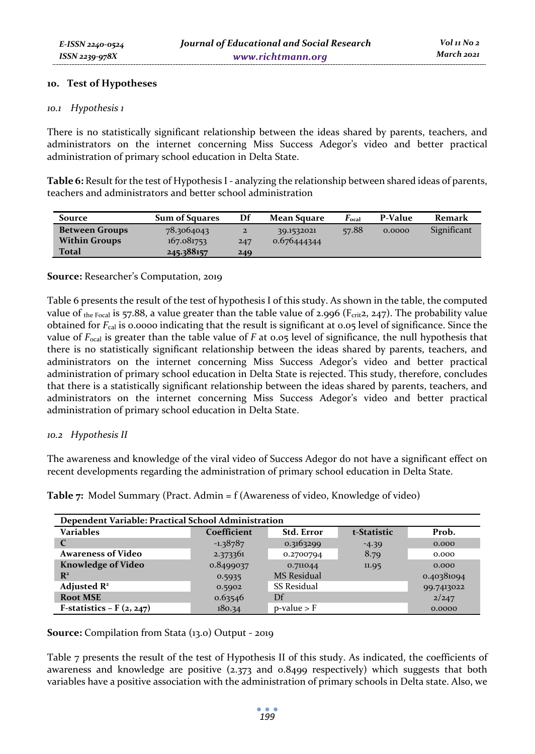### **10. Test of Hypotheses**

#### *10.1 Hypothesis 1*

There is no statistically significant relationship between the ideas shared by parents, teachers, and administrators on the internet concerning Miss Success Adegor's video and better practical administration of primary school education in Delta State.

**Table 6:** Result for the test of Hypothesis I - analyzing the relationship between shared ideas of parents, teachers and administrators and better school administration

| Source                | <b>Sum of Squares</b> | Df           | Mean Square | $\boldsymbol{F_{\rm ocal}}$ | P-Value | Remark      |
|-----------------------|-----------------------|--------------|-------------|-----------------------------|---------|-------------|
| <b>Between Groups</b> | 78.3064043            | $\mathbf{z}$ | 39.1532021  | 57.88                       | 0.0000  | Significant |
| <b>Within Groups</b>  | 167.081753            | 247          | 0.676444344 |                             |         |             |
| Total                 | 245.388157            | 249          |             |                             |         |             |

#### **Source:** Researcher's Computation, 2019

Table 6 presents the result of the test of hypothesis I of this study. As shown in the table, the computed value of the Focal is 57.88, a value greater than the table value of 2.996 (Fcrit2, 247). The probability value obtained for *F*cal is 0.0000 indicating that the result is significant at 0.05 level of significance. Since the value of *F*ocal is greater than the table value of *F* at 0.05 level of significance, the null hypothesis that there is no statistically significant relationship between the ideas shared by parents, teachers, and administrators on the internet concerning Miss Success Adegor's video and better practical administration of primary school education in Delta State is rejected. This study, therefore, concludes that there is a statistically significant relationship between the ideas shared by parents, teachers, and administrators on the internet concerning Miss Success Adegor's video and better practical administration of primary school education in Delta State.

#### *10.2 Hypothesis II*

The awareness and knowledge of the viral video of Success Adegor do not have a significant effect on recent developments regarding the administration of primary school education in Delta State.

| Dependent Variable: Practical School Administration |             |                    |             |            |  |  |  |  |  |
|-----------------------------------------------------|-------------|--------------------|-------------|------------|--|--|--|--|--|
| Variables                                           | Coefficient | Std. Error         | t-Statistic | Prob.      |  |  |  |  |  |
| $\mathsf{C}$                                        | $-1.38787$  | 0.3163299          | $-4.39$     | 0.000      |  |  |  |  |  |
| <b>Awareness of Video</b>                           | 2.373361    | 0.2700794          | 8.79        | 0.000      |  |  |  |  |  |
| <b>Knowledge of Video</b>                           | 0.8499037   | 0.711044           | 11.95       | 0.000      |  |  |  |  |  |
| $\mathbb{R}^2$                                      | 0.5935      | <b>MS</b> Residual |             | 0.40381094 |  |  |  |  |  |
| Adjusted $\mathbb{R}^2$                             | 0.5902      | <b>SS Residual</b> |             | 99.7413022 |  |  |  |  |  |
| <b>Root MSE</b>                                     | 0.63546     | Df                 |             | 2/247      |  |  |  |  |  |
| F-statistics – $F(2, 247)$                          | 180.34      | $p$ -value > $F$   |             | 0.0000     |  |  |  |  |  |

**Table 7:** Model Summary (Pract. Admin = f (Awareness of video, Knowledge of video)

**Source:** Compilation from Stata (13.0) Output - 2019

Table 7 presents the result of the test of Hypothesis II of this study. As indicated, the coefficients of awareness and knowledge are positive (2.373 and 0.8499 respectively) which suggests that both variables have a positive association with the administration of primary schools in Delta state. Also, we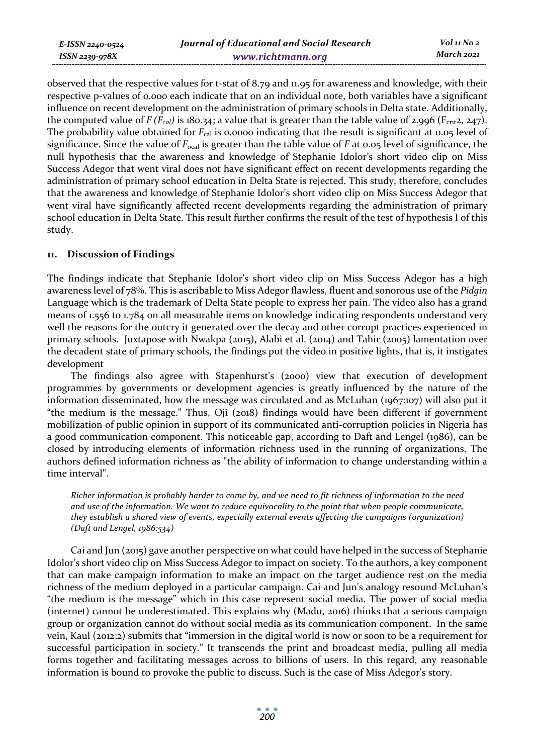*E-ISSN 2240-0524 ISSN 2239-978X*

observed that the respective values for t-stat of 8.79 and 11.95 for awareness and knowledge, with their respective p-values of 0.000 each indicate that on an individual note, both variables have a significant influence on recent development on the administration of primary schools in Delta state. Additionally, the computed value of  $F(F_{cal})$  is 180.34; a value that is greater than the table value of 2.996 ( $F_{crit2}$ , 247). The probability value obtained for *F<sub>cal</sub>* is 0.0000 indicating that the result is significant at 0.05 level of significance. Since the value of *F*ocal is greater than the table value of *F* at 0.05 level of significance, the null hypothesis that the awareness and knowledge of Stephanie Idolor's short video clip on Miss Success Adegor that went viral does not have significant effect on recent developments regarding the administration of primary school education in Delta State is rejected. This study, therefore, concludes that the awareness and knowledge of Stephanie Idolor's short video clip on Miss Success Adegor that went viral have significantly affected recent developments regarding the administration of primary school education in Delta State. This result further confirms the result of the test of hypothesis I of this study.

### **11. Discussion of Findings**

The findings indicate that Stephanie Idolor's short video clip on Miss Success Adegor has a high awareness level of 78%. This is ascribable to Miss Adegor flawless, fluent and sonorous use of the *Pidgin* Language which is the trademark of Delta State people to express her pain. The video also has a grand means of 1.556 to 1.784 on all measurable items on knowledge indicating respondents understand very well the reasons for the outcry it generated over the decay and other corrupt practices experienced in primary schools. Juxtapose with Nwakpa (2015), Alabi et al. (2014) and Tahir (2005) lamentation over the decadent state of primary schools, the findings put the video in positive lights, that is, it instigates development

The findings also agree with Stapenhurst's (2000) view that execution of development programmes by governments or development agencies is greatly influenced by the nature of the information disseminated, how the message was circulated and as McLuhan (1967:107) will also put it "the medium is the message." Thus, Oji (2018) findings would have been different if government mobilization of public opinion in support of its communicated anti-corruption policies in Nigeria has a good communication component. This noticeable gap, according to Daft and Lengel (1986), can be closed by introducing elements of information richness used in the running of organizations. The authors defined information richness as "the ability of information to change understanding within a time interval".

*Richer information is probably harder to come by, and we need to fit richness of information to the need and use of the information. We want to reduce equivocality to the point that when people communicate, they establish a shared view of events, especially external events affecting the campaigns (organization) (Daft and Lengel, 1986:534)* 

Cai and Jun (2015) gave another perspective on what could have helped in the success of Stephanie Idolor's short video clip on Miss Success Adegor to impact on society. To the authors, a key component that can make campaign information to make an impact on the target audience rest on the media richness of the medium deployed in a particular campaign. Cai and Jun's analogy resound McLuhan's "the medium is the message" which in this case represent social media. The power of social media (internet) cannot be underestimated. This explains why (Madu, 2016) thinks that a serious campaign group or organization cannot do without social media as its communication component. In the same vein, Kaul (2012:2) submits that "immersion in the digital world is now or soon to be a requirement for successful participation in society." It transcends the print and broadcast media, pulling all media forms together and facilitating messages across to billions of users. In this regard, any reasonable information is bound to provoke the public to discuss. Such is the case of Miss Adegor's story.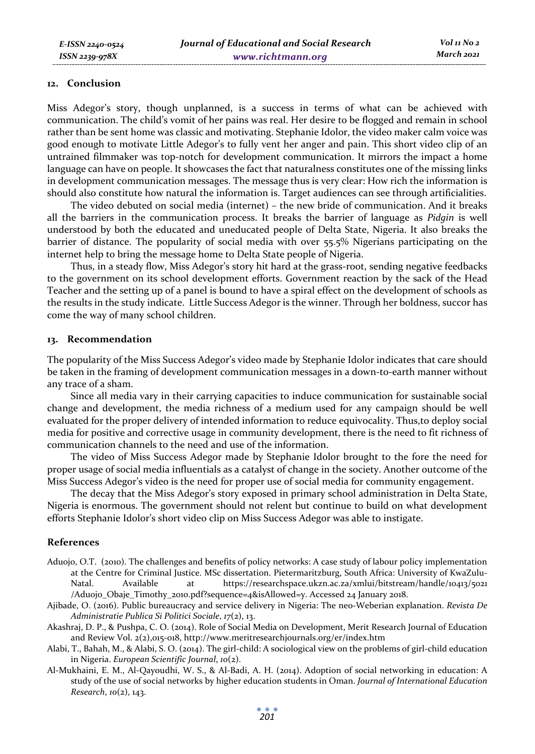#### **12. Conclusion**

Miss Adegor's story, though unplanned, is a success in terms of what can be achieved with communication. The child's vomit of her pains was real. Her desire to be flogged and remain in school rather than be sent home was classic and motivating. Stephanie Idolor, the video maker calm voice was good enough to motivate Little Adegor's to fully vent her anger and pain. This short video clip of an untrained filmmaker was top-notch for development communication. It mirrors the impact a home language can have on people. It showcases the fact that naturalness constitutes one of the missing links in development communication messages. The message thus is very clear: How rich the information is should also constitute how natural the information is. Target audiences can see through artificialities.

The video debuted on social media (internet) – the new bride of communication. And it breaks all the barriers in the communication process. It breaks the barrier of language as *Pidgin* is well understood by both the educated and uneducated people of Delta State, Nigeria. It also breaks the barrier of distance. The popularity of social media with over 55.5% Nigerians participating on the internet help to bring the message home to Delta State people of Nigeria.

Thus, in a steady flow, Miss Adegor's story hit hard at the grass-root, sending negative feedbacks to the government on its school development efforts. Government reaction by the sack of the Head Teacher and the setting up of a panel is bound to have a spiral effect on the development of schools as the results in the study indicate. Little Success Adegor is the winner. Through her boldness, succor has come the way of many school children.

#### **13. Recommendation**

The popularity of the Miss Success Adegor's video made by Stephanie Idolor indicates that care should be taken in the framing of development communication messages in a down-to-earth manner without any trace of a sham.

Since all media vary in their carrying capacities to induce communication for sustainable social change and development, the media richness of a medium used for any campaign should be well evaluated for the proper delivery of intended information to reduce equivocality. Thus,to deploy social media for positive and corrective usage in community development, there is the need to fit richness of communication channels to the need and use of the information.

The video of Miss Success Adegor made by Stephanie Idolor brought to the fore the need for proper usage of social media influentials as a catalyst of change in the society. Another outcome of the Miss Success Adegor's video is the need for proper use of social media for community engagement.

The decay that the Miss Adegor's story exposed in primary school administration in Delta State, Nigeria is enormous. The government should not relent but continue to build on what development efforts Stephanie Idolor's short video clip on Miss Success Adegor was able to instigate.

#### **References**

- Aduojo, O.T. (2010). The challenges and benefits of policy networks: A case study of labour policy implementation at the Centre for Criminal Justice. MSc dissertation. Pietermaritzburg, South Africa: University of KwaZulu-Natal. Available at https://researchspace.ukzn.ac.za/xmlui/bitstream/handle/10413/5021 /Aduojo\_Obaje\_Timothy\_2010.pdf?sequence=4&isAllowed=y. Accessed 24 January 2018.
- Ajibade, O. (2016). Public bureaucracy and service delivery in Nigeria: The neo-Weberian explanation. *Revista De Administratie Publica Si Politici Sociale*, *17*(2), 13.
- Akashraj, D. P., & Pushpa, C. O. (2014). Role of Social Media on Development, Merit Research Journal of Education and Review Vol. 2(2),015-018, http://www.meritresearchjournals.org/er/index.htm
- Alabi, T., Bahah, M., & Alabi, S. O. (2014). The girl-child: A sociological view on the problems of girl-child education in Nigeria. *European Scientific Journal*, *10*(2).
- Al-Mukhaini, E. M., Al-Qayoudhi, W. S., & Al-Badi, A. H. (2014). Adoption of social networking in education: A study of the use of social networks by higher education students in Oman. *Journal of International Education Research*, *10*(2), 143.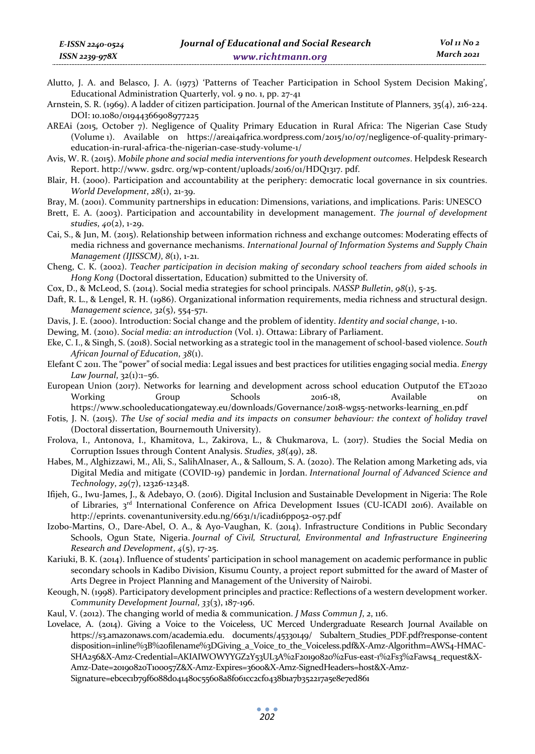- Alutto, J. A. and Belasco, J. A. (1973) 'Patterns of Teacher Participation in School System Decision Making', Educational Administration Quarterly, vol. 9 no. 1, pp. 27-41
- Arnstein, S. R. (1969). A ladder of citizen participation. Journal of the American Institute of Planners, 35(4), 216-224. DOI: 10.1080/01944366908977225
- AREAi (2015, October 7). Negligence of Quality Primary Education in Rural Africa: The Nigerian Case Study (Volume 1). Available on https://areai4africa.wordpress.com/2015/10/07/negligence-of-quality-primaryeducation-in-rural-africa-the-nigerian-case-study-volume-1/
- Avis, W. R. (2015). *Mobile phone and social media interventions for youth development outcomes*. Helpdesk Research Report. http://www. gsdrc. org/wp-content/uploads/2016/01/HDQ1317. pdf.
- Blair, H. (2000). Participation and accountability at the periphery: democratic local governance in six countries. *World Development*, *28*(1), 21-39.
- Bray, M. (2001). Community partnerships in education: Dimensions, variations, and implications. Paris: UNESCO
- Brett, E. A. (2003). Participation and accountability in development management. *The journal of development studies*, *40*(2), 1-29.
- Cai, S., & Jun, M. (2015). Relationship between information richness and exchange outcomes: Moderating effects of media richness and governance mechanisms. *International Journal of Information Systems and Supply Chain Management (IJISSCM)*, *8*(1), 1-21.
- Cheng, C. K. (2002). *Teacher participation in decision making of secondary school teachers from aided schools in Hong Kong* (Doctoral dissertation, Education) submitted to the University of.
- Cox, D., & McLeod, S. (2014). Social media strategies for school principals. *NASSP Bulletin*, *98*(1), 5-25.
- Daft, R. L., & Lengel, R. H. (1986). Organizational information requirements, media richness and structural design. *Management science*, *32*(5), 554-571.
- Davis, J. E. (2000). Introduction: Social change and the problem of identity. *Identity and social change*, 1-10.
- Dewing, M. (2010). *Social media: an introduction* (Vol. 1). Ottawa: Library of Parliament.
- Eke, C. I., & Singh, S. (2018). Social networking as a strategic tool in the management of school-based violence. *South African Journal of Education*, *38*(1).
- Elefant C 2011. The "power" of social media: Legal issues and best practices for utilities engaging social media. *Energy Law Journal*, 32(1):1–56.
- European Union (2017). Networks for learning and development across school education Outputof the ET2020 Working Group Schools 2016-18, Available on https://www.schooleducationgateway.eu/downloads/Governance/2018-wgs5-networks-learning\_en.pdf
- Fotis, J. N. (2015). *The Use of social media and its impacts on consumer behaviour: the context of holiday travel* (Doctoral dissertation, Bournemouth University).
- Frolova, I., Antonova, I., Khamitova, L., Zakirova, L., & Chukmarova, L. (2017). Studies the Social Media on Corruption Issues through Content Analysis. *Studies*, *38*(49), 28.
- Habes, M., Alghizzawi, M., Ali, S., SalihAlnaser, A., & Salloum, S. A. (2020). The Relation among Marketing ads, via Digital Media and mitigate (COVID-19) pandemic in Jordan. *International Journal of Advanced Science and Technology*, *29*(7), 12326-12348.
- Ifijeh, G., Iwu-James, J., & Adebayo, O. (2016). Digital Inclusion and Sustainable Development in Nigeria: The Role of Libraries, 3<sup>rd</sup> International Conference on Africa Development Issues (CU-ICADI 2016). Available on http://eprints. covenantuniversity.edu.ng/6631/1/icadi16pp052-057.pdf
- Izobo-Martins, O., Dare-Abel, O. A., & Ayo-Vaughan, K. (2014). Infrastructure Conditions in Public Secondary Schools, Ogun State, Nigeria. *Journal of Civil, Structural, Environmental and Infrastructure Engineering Research and Development*, *4*(5), 17-25.
- Kariuki, B. K. (2014). Influence of students' participation in school management on academic performance in public secondary schools in Kadibo Division, Kisumu County, a project report submitted for the award of Master of Arts Degree in Project Planning and Management of the University of Nairobi.
- Keough, N. (1998). Participatory development principles and practice: Reflections of a western development worker. *Community Development Journal*, *33*(3), 187-196.
- Kaul, V. (2012). The changing world of media & communication. *J Mass Commun J*, *2*, 116.
- Lovelace, A. (2014). Giving a Voice to the Voiceless, UC Merced Undergraduate Research Journal Available on https://s3.amazonaws.com/academia.edu. documents/45330149/ Subaltern\_Studies\_PDF.pdf?response-content disposition=inline%3B%20filename%3DGiving\_a\_Voice\_to\_the\_Voiceless.pdf&X-Amz-Algorithm=AWS4-HMAC-SHA256&X-Amz-Credential=AKIAIWOWYYGZ2Y53UL3A%2F20190820%2Fus-east-1%2Fs3%2Faws4\_request&X-Amz-Date=20190820T100057Z&X-Amz-Expires=3600&X-Amz-SignedHeaders=host&X-Amz-Signature=ebcec1b79f6088d041480c55608a8f061cc2cf0438b1a7b352217a5e8e7ed861